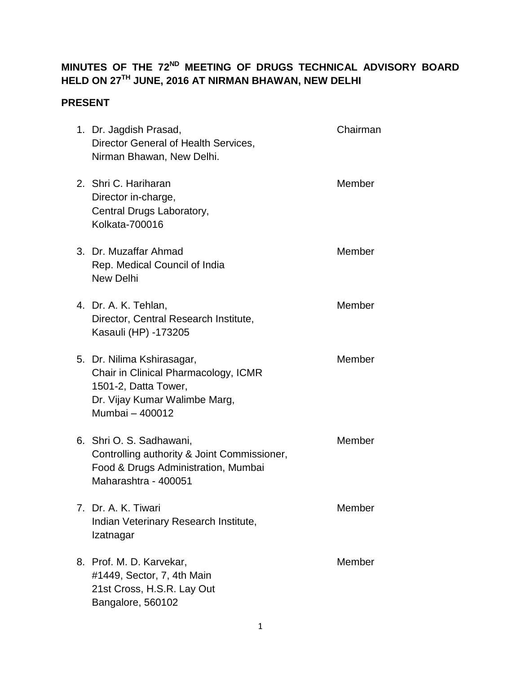# **MINUTES OF THE 72ND MEETING OF DRUGS TECHNICAL ADVISORY BOARD HELD ON 27TH JUNE, 2016 AT NIRMAN BHAWAN, NEW DELHI**

# **PRESENT**

| 1. Dr. Jagdish Prasad,<br>Director General of Health Services,<br>Nirman Bhawan, New Delhi.                                                    | Chairman |
|------------------------------------------------------------------------------------------------------------------------------------------------|----------|
| 2. Shri C. Hariharan<br>Director in-charge,<br>Central Drugs Laboratory,<br>Kolkata-700016                                                     | Member   |
| 3. Dr. Muzaffar Ahmad<br>Rep. Medical Council of India<br><b>New Delhi</b>                                                                     | Member   |
| 4. Dr. A. K. Tehlan,<br>Director, Central Research Institute,<br>Kasauli (HP) -173205                                                          | Member   |
| 5. Dr. Nilima Kshirasagar,<br>Chair in Clinical Pharmacology, ICMR<br>1501-2, Datta Tower,<br>Dr. Vijay Kumar Walimbe Marg,<br>Mumbai - 400012 | Member   |
| 6. Shri O. S. Sadhawani,<br>Controlling authority & Joint Commissioner,<br>Food & Drugs Administration, Mumbai<br>Maharashtra - 400051         | Member   |
| 7. Dr. A. K. Tiwari<br>Indian Veterinary Research Institute,<br>Izatnagar                                                                      | Member   |
| 8. Prof. M. D. Karvekar,<br>#1449, Sector, 7, 4th Main<br>21st Cross, H.S.R. Lay Out<br>Bangalore, 560102                                      | Member   |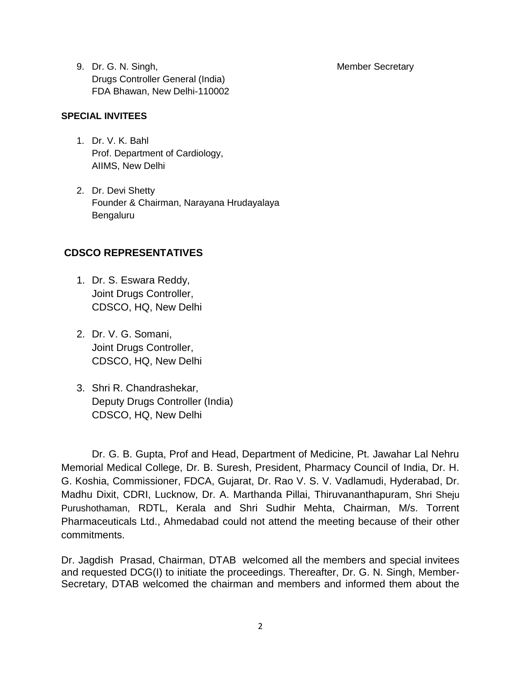9. Dr. G. N. Singh, New York 19, 2008, 2009, 2009, 2009, 2009, 2009, 2009, 2009, 2009, 2009, 2009, 2009, 2009, 200 Drugs Controller General (India) FDA Bhawan, New Delhi-110002

#### **SPECIAL INVITEES**

- 1. Dr. V. K. Bahl Prof. Department of Cardiology, AIIMS, New Delhi
- 2. Dr. Devi Shetty Founder & Chairman, Narayana Hrudayalaya Bengaluru

#### **CDSCO REPRESENTATIVES**

- 1. Dr. S. Eswara Reddy, Joint Drugs Controller, CDSCO, HQ, New Delhi
- 2. Dr. V. G. Somani, Joint Drugs Controller, CDSCO, HQ, New Delhi
- 3. Shri R. Chandrashekar, Deputy Drugs Controller (India) CDSCO, HQ, New Delhi

Dr. G. B. Gupta, Prof and Head, Department of Medicine, Pt. Jawahar Lal Nehru Memorial Medical College, Dr. B. Suresh, President, Pharmacy Council of India, Dr. H. G. Koshia, Commissioner, FDCA, Gujarat, Dr. Rao V. S. V. Vadlamudi, Hyderabad, Dr. Madhu Dixit, CDRI, Lucknow, Dr. A. Marthanda Pillai, Thiruvananthapuram, Shri Sheju Purushothaman, RDTL, Kerala and Shri Sudhir Mehta, Chairman, M/s. Torrent Pharmaceuticals Ltd., Ahmedabad could not attend the meeting because of their other commitments.

Dr. Jagdish Prasad, Chairman, DTAB welcomed all the members and special invitees and requested DCG(I) to initiate the proceedings. Thereafter, Dr. G. N. Singh, Member-Secretary, DTAB welcomed the chairman and members and informed them about the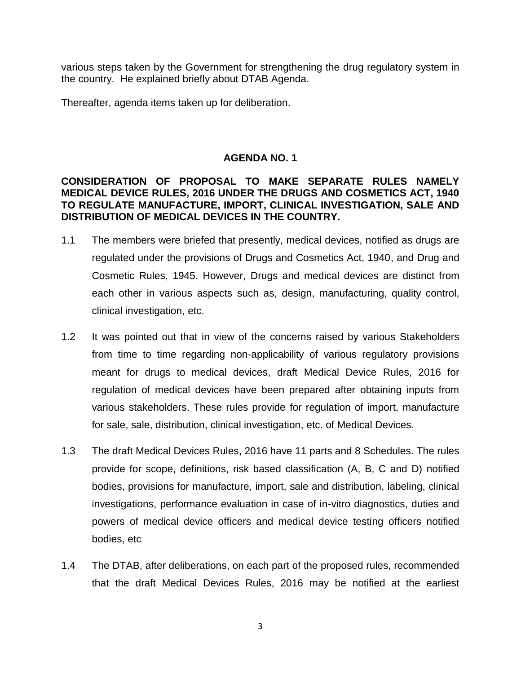various steps taken by the Government for strengthening the drug regulatory system in the country. He explained briefly about DTAB Agenda.

Thereafter, agenda items taken up for deliberation.

# **AGENDA NO. 1**

## **CONSIDERATION OF PROPOSAL TO MAKE SEPARATE RULES NAMELY MEDICAL DEVICE RULES, 2016 UNDER THE DRUGS AND COSMETICS ACT, 1940 TO REGULATE MANUFACTURE, IMPORT, CLINICAL INVESTIGATION, SALE AND DISTRIBUTION OF MEDICAL DEVICES IN THE COUNTRY.**

- 1.1 The members were briefed that presently, medical devices, notified as drugs are regulated under the provisions of Drugs and Cosmetics Act, 1940, and Drug and Cosmetic Rules, 1945. However, Drugs and medical devices are distinct from each other in various aspects such as, design, manufacturing, quality control, clinical investigation, etc.
- 1.2 It was pointed out that in view of the concerns raised by various Stakeholders from time to time regarding non-applicability of various regulatory provisions meant for drugs to medical devices, draft Medical Device Rules, 2016 for regulation of medical devices have been prepared after obtaining inputs from various stakeholders. These rules provide for regulation of import, manufacture for sale, sale, distribution, clinical investigation, etc. of Medical Devices.
- 1.3 The draft Medical Devices Rules, 2016 have 11 parts and 8 Schedules. The rules provide for scope, definitions, risk based classification (A, B, C and D) notified bodies, provisions for manufacture, import, sale and distribution, labeling, clinical investigations, performance evaluation in case of in-vitro diagnostics, duties and powers of medical device officers and medical device testing officers notified bodies, etc
- 1.4 The DTAB, after deliberations, on each part of the proposed rules, recommended that the draft Medical Devices Rules, 2016 may be notified at the earliest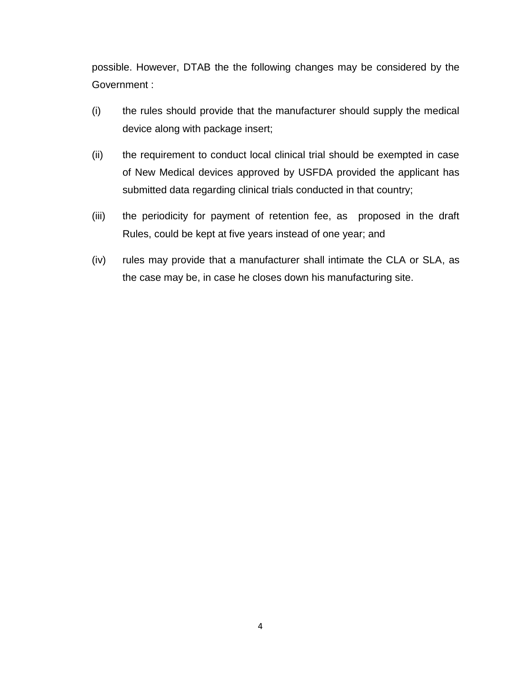possible. However, DTAB the the following changes may be considered by the Government :

- (i) the rules should provide that the manufacturer should supply the medical device along with package insert;
- (ii) the requirement to conduct local clinical trial should be exempted in case of New Medical devices approved by USFDA provided the applicant has submitted data regarding clinical trials conducted in that country;
- (iii) the periodicity for payment of retention fee, as proposed in the draft Rules, could be kept at five years instead of one year; and
- (iv) rules may provide that a manufacturer shall intimate the CLA or SLA, as the case may be, in case he closes down his manufacturing site.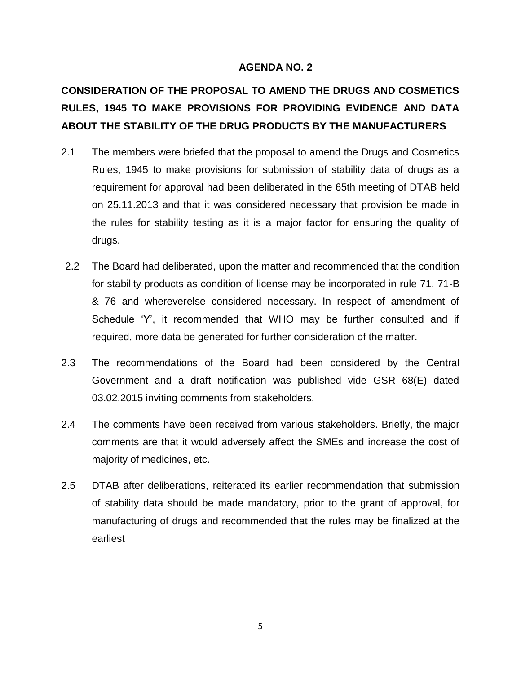# **CONSIDERATION OF THE PROPOSAL TO AMEND THE DRUGS AND COSMETICS RULES, 1945 TO MAKE PROVISIONS FOR PROVIDING EVIDENCE AND DATA ABOUT THE STABILITY OF THE DRUG PRODUCTS BY THE MANUFACTURERS**

- 2.1 The members were briefed that the proposal to amend the Drugs and Cosmetics Rules, 1945 to make provisions for submission of stability data of drugs as a requirement for approval had been deliberated in the 65th meeting of DTAB held on 25.11.2013 and that it was considered necessary that provision be made in the rules for stability testing as it is a major factor for ensuring the quality of drugs.
- 2.2 The Board had deliberated, upon the matter and recommended that the condition for stability products as condition of license may be incorporated in rule 71, 71-B & 76 and whereverelse considered necessary. In respect of amendment of Schedule "Y", it recommended that WHO may be further consulted and if required, more data be generated for further consideration of the matter.
- 2.3 The recommendations of the Board had been considered by the Central Government and a draft notification was published vide GSR 68(E) dated 03.02.2015 inviting comments from stakeholders.
- 2.4 The comments have been received from various stakeholders. Briefly, the major comments are that it would adversely affect the SMEs and increase the cost of majority of medicines, etc.
- 2.5 DTAB after deliberations, reiterated its earlier recommendation that submission of stability data should be made mandatory, prior to the grant of approval, for manufacturing of drugs and recommended that the rules may be finalized at the earliest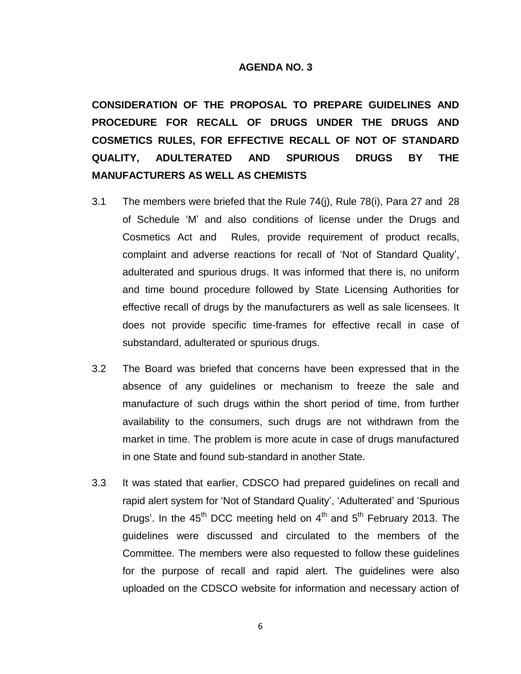**CONSIDERATION OF THE PROPOSAL TO PREPARE GUIDELINES AND PROCEDURE FOR RECALL OF DRUGS UNDER THE DRUGS AND COSMETICS RULES, FOR EFFECTIVE RECALL OF NOT OF STANDARD QUALITY, ADULTERATED AND SPURIOUS DRUGS BY THE MANUFACTURERS AS WELL AS CHEMISTS** 

- 3.1 The members were briefed that the Rule 74(j), Rule 78(i), Para 27 and 28 of Schedule "M" and also conditions of license under the Drugs and Cosmetics Act and Rules, provide requirement of product recalls, complaint and adverse reactions for recall of "Not of Standard Quality", adulterated and spurious drugs. It was informed that there is, no uniform and time bound procedure followed by State Licensing Authorities for effective recall of drugs by the manufacturers as well as sale licensees. It does not provide specific time-frames for effective recall in case of substandard, adulterated or spurious drugs.
- 3.2 The Board was briefed that concerns have been expressed that in the absence of any guidelines or mechanism to freeze the sale and manufacture of such drugs within the short period of time, from further availability to the consumers, such drugs are not withdrawn from the market in time. The problem is more acute in case of drugs manufactured in one State and found sub-standard in another State.
- 3.3 It was stated that earlier, CDSCO had prepared guidelines on recall and rapid alert system for "Not of Standard Quality", "Adulterated" and "Spurious Drugs'. In the  $45<sup>th</sup>$  DCC meeting held on  $4<sup>th</sup>$  and  $5<sup>th</sup>$  February 2013. The guidelines were discussed and circulated to the members of the Committee. The members were also requested to follow these guidelines for the purpose of recall and rapid alert. The guidelines were also uploaded on the CDSCO website for information and necessary action of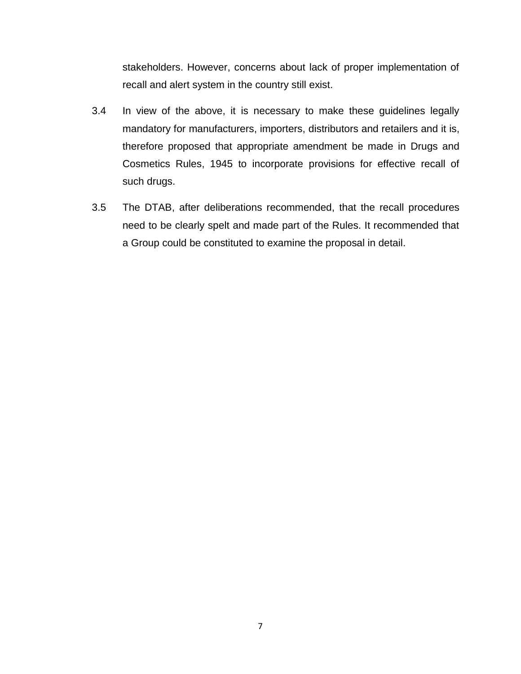stakeholders. However, concerns about lack of proper implementation of recall and alert system in the country still exist.

- 3.4 In view of the above, it is necessary to make these guidelines legally mandatory for manufacturers, importers, distributors and retailers and it is, therefore proposed that appropriate amendment be made in Drugs and Cosmetics Rules, 1945 to incorporate provisions for effective recall of such drugs.
- 3.5 The DTAB, after deliberations recommended, that the recall procedures need to be clearly spelt and made part of the Rules. It recommended that a Group could be constituted to examine the proposal in detail.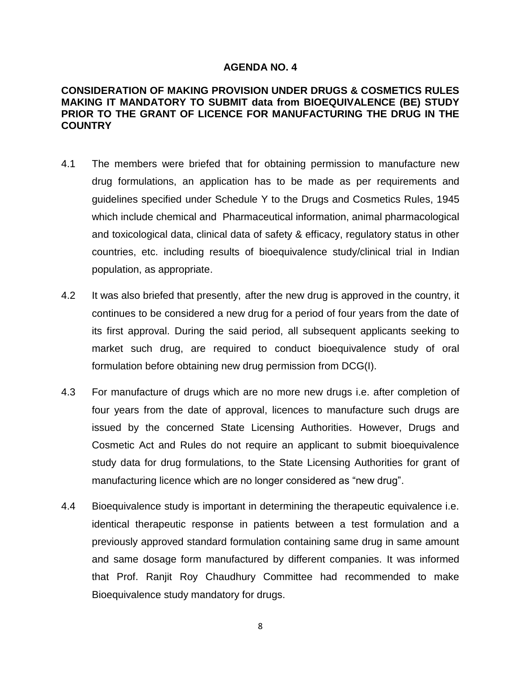#### **CONSIDERATION OF MAKING PROVISION UNDER DRUGS & COSMETICS RULES MAKING IT MANDATORY TO SUBMIT data from BIOEQUIVALENCE (BE) STUDY PRIOR TO THE GRANT OF LICENCE FOR MANUFACTURING THE DRUG IN THE COUNTRY**

- 4.1 The members were briefed that for obtaining permission to manufacture new drug formulations, an application has to be made as per requirements and guidelines specified under Schedule Y to the Drugs and Cosmetics Rules, 1945 which include chemical and Pharmaceutical information, animal pharmacological and toxicological data, clinical data of safety & efficacy, regulatory status in other countries, etc. including results of bioequivalence study/clinical trial in Indian population, as appropriate.
- 4.2 It was also briefed that presently, after the new drug is approved in the country, it continues to be considered a new drug for a period of four years from the date of its first approval. During the said period, all subsequent applicants seeking to market such drug, are required to conduct bioequivalence study of oral formulation before obtaining new drug permission from DCG(I).
- 4.3 For manufacture of drugs which are no more new drugs i.e. after completion of four years from the date of approval, licences to manufacture such drugs are issued by the concerned State Licensing Authorities. However, Drugs and Cosmetic Act and Rules do not require an applicant to submit bioequivalence study data for drug formulations, to the State Licensing Authorities for grant of manufacturing licence which are no longer considered as "new drug".
- 4.4 Bioequivalence study is important in determining the therapeutic equivalence i.e. identical therapeutic response in patients between a test formulation and a previously approved standard formulation containing same drug in same amount and same dosage form manufactured by different companies. It was informed that Prof. Ranjit Roy Chaudhury Committee had recommended to make Bioequivalence study mandatory for drugs.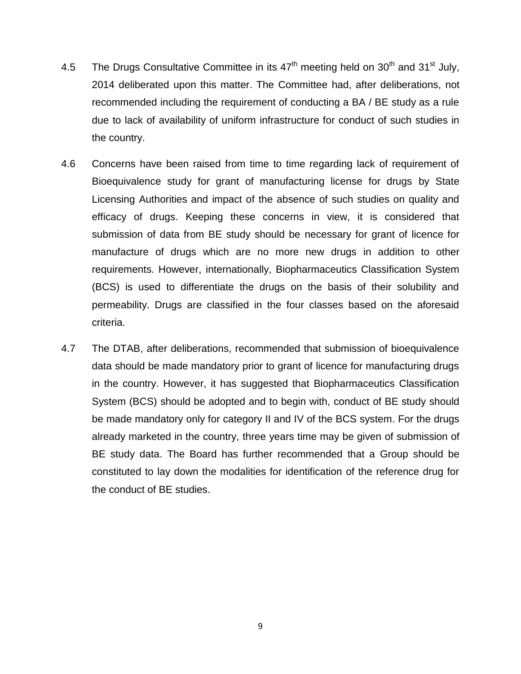- 4.5 The Drugs Consultative Committee in its  $47<sup>th</sup>$  meeting held on  $30<sup>th</sup>$  and  $31<sup>st</sup>$  July, 2014 deliberated upon this matter. The Committee had, after deliberations, not recommended including the requirement of conducting a BA / BE study as a rule due to lack of availability of uniform infrastructure for conduct of such studies in the country.
- 4.6 Concerns have been raised from time to time regarding lack of requirement of Bioequivalence study for grant of manufacturing license for drugs by State Licensing Authorities and impact of the absence of such studies on quality and efficacy of drugs. Keeping these concerns in view, it is considered that submission of data from BE study should be necessary for grant of licence for manufacture of drugs which are no more new drugs in addition to other requirements. However, internationally, Biopharmaceutics Classification System (BCS) is used to differentiate the drugs on the basis of their solubility and permeability. Drugs are classified in the four classes based on the aforesaid criteria.
- 4.7 The DTAB, after deliberations, recommended that submission of bioequivalence data should be made mandatory prior to grant of licence for manufacturing drugs in the country. However, it has suggested that Biopharmaceutics Classification System (BCS) should be adopted and to begin with, conduct of BE study should be made mandatory only for category II and IV of the BCS system. For the drugs already marketed in the country, three years time may be given of submission of BE study data. The Board has further recommended that a Group should be constituted to lay down the modalities for identification of the reference drug for the conduct of BE studies.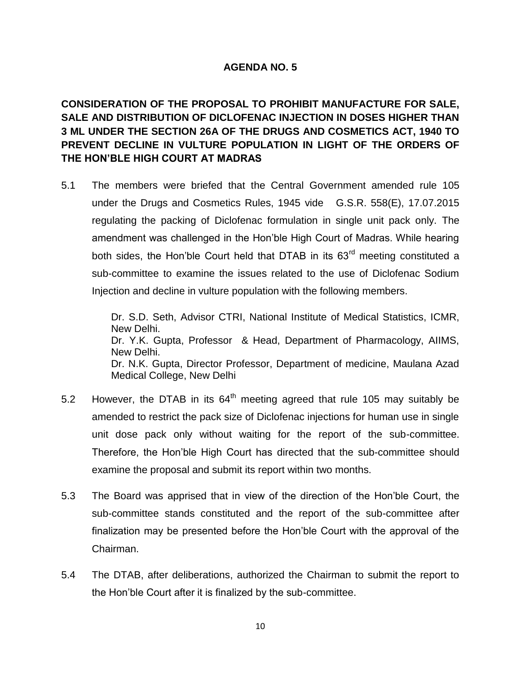**CONSIDERATION OF THE PROPOSAL TO PROHIBIT MANUFACTURE FOR SALE, SALE AND DISTRIBUTION OF DICLOFENAC INJECTION IN DOSES HIGHER THAN 3 ML UNDER THE SECTION 26A OF THE DRUGS AND COSMETICS ACT, 1940 TO PREVENT DECLINE IN VULTURE POPULATION IN LIGHT OF THE ORDERS OF THE HON'BLE HIGH COURT AT MADRAS**

5.1 The members were briefed that the Central Government amended rule 105 under the Drugs and Cosmetics Rules, 1945 vide G.S.R. 558(E), 17.07.2015 regulating the packing of Diclofenac formulation in single unit pack only. The amendment was challenged in the Hon"ble High Court of Madras. While hearing both sides, the Hon'ble Court held that DTAB in its  $63<sup>rd</sup>$  meeting constituted a sub-committee to examine the issues related to the use of Diclofenac Sodium Injection and decline in vulture population with the following members.

> Dr. S.D. Seth, Advisor CTRI, National Institute of Medical Statistics, ICMR, New Delhi. Dr. Y.K. Gupta, Professor & Head, Department of Pharmacology, AIIMS, New Delhi. Dr. N.K. Gupta, Director Professor, Department of medicine, Maulana Azad Medical College, New Delhi

- 5.2 However, the DTAB in its  $64<sup>th</sup>$  meeting agreed that rule 105 may suitably be amended to restrict the pack size of Diclofenac injections for human use in single unit dose pack only without waiting for the report of the sub-committee. Therefore, the Hon"ble High Court has directed that the sub-committee should examine the proposal and submit its report within two months.
- 5.3 The Board was apprised that in view of the direction of the Hon"ble Court, the sub-committee stands constituted and the report of the sub-committee after finalization may be presented before the Hon"ble Court with the approval of the Chairman.
- 5.4 The DTAB, after deliberations, authorized the Chairman to submit the report to the Hon"ble Court after it is finalized by the sub-committee.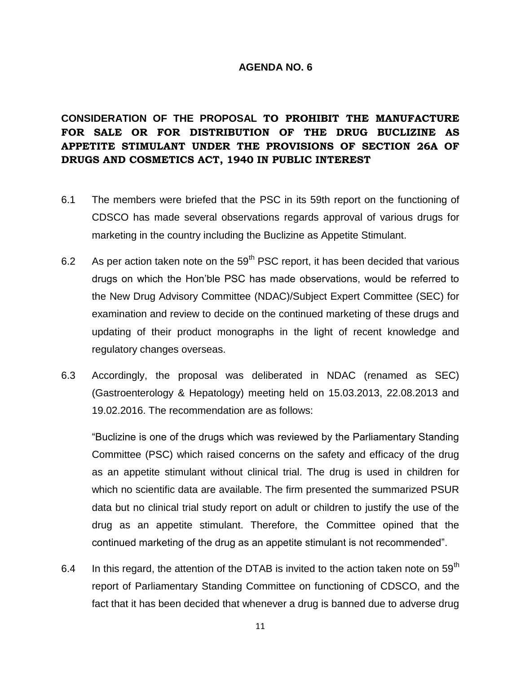# **CONSIDERATION OF THE PROPOSAL TO PROHIBIT THE MANUFACTURE FOR SALE OR FOR DISTRIBUTION OF THE DRUG BUCLIZINE AS APPETITE STIMULANT UNDER THE PROVISIONS OF SECTION 26A OF DRUGS AND COSMETICS ACT, 1940 IN PUBLIC INTEREST**

- 6.1 The members were briefed that the PSC in its 59th report on the functioning of CDSCO has made several observations regards approval of various drugs for marketing in the country including the Buclizine as Appetite Stimulant.
- 6.2 As per action taken note on the  $59<sup>th</sup>$  PSC report, it has been decided that various drugs on which the Hon"ble PSC has made observations, would be referred to the New Drug Advisory Committee (NDAC)/Subject Expert Committee (SEC) for examination and review to decide on the continued marketing of these drugs and updating of their product monographs in the light of recent knowledge and regulatory changes overseas.
- 6.3 Accordingly, the proposal was deliberated in NDAC (renamed as SEC) (Gastroenterology & Hepatology) meeting held on 15.03.2013, 22.08.2013 and 19.02.2016. The recommendation are as follows:

"Buclizine is one of the drugs which was reviewed by the Parliamentary Standing Committee (PSC) which raised concerns on the safety and efficacy of the drug as an appetite stimulant without clinical trial. The drug is used in children for which no scientific data are available. The firm presented the summarized PSUR data but no clinical trial study report on adult or children to justify the use of the drug as an appetite stimulant. Therefore, the Committee opined that the continued marketing of the drug as an appetite stimulant is not recommended".

6.4 In this regard, the attention of the DTAB is invited to the action taken note on 59<sup>th</sup> report of Parliamentary Standing Committee on functioning of CDSCO, and the fact that it has been decided that whenever a drug is banned due to adverse drug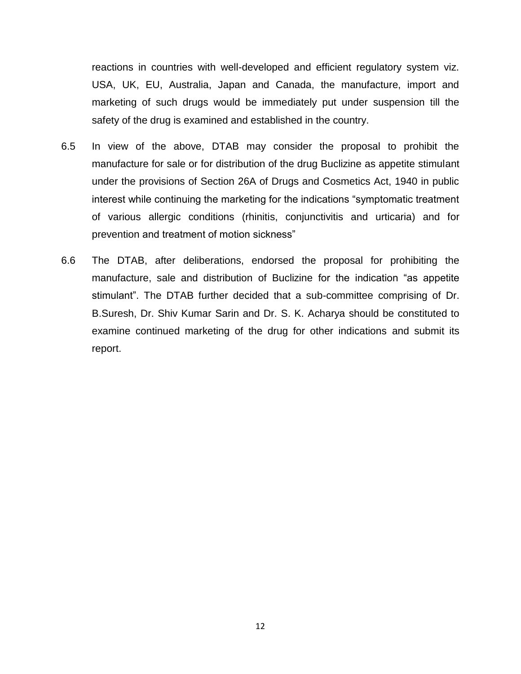reactions in countries with well-developed and efficient regulatory system viz. USA, UK, EU, Australia, Japan and Canada, the manufacture, import and marketing of such drugs would be immediately put under suspension till the safety of the drug is examined and established in the country.

- 6.5 In view of the above, DTAB may consider the proposal to prohibit the manufacture for sale or for distribution of the drug Buclizine as appetite stimulant under the provisions of Section 26A of Drugs and Cosmetics Act, 1940 in public interest while continuing the marketing for the indications "symptomatic treatment of various allergic conditions (rhinitis, conjunctivitis and urticaria) and for prevention and treatment of motion sickness"
- 6.6 The DTAB, after deliberations, endorsed the proposal for prohibiting the manufacture, sale and distribution of Buclizine for the indication "as appetite stimulant". The DTAB further decided that a sub-committee comprising of Dr. B.Suresh, Dr. Shiv Kumar Sarin and Dr. S. K. Acharya should be constituted to examine continued marketing of the drug for other indications and submit its report.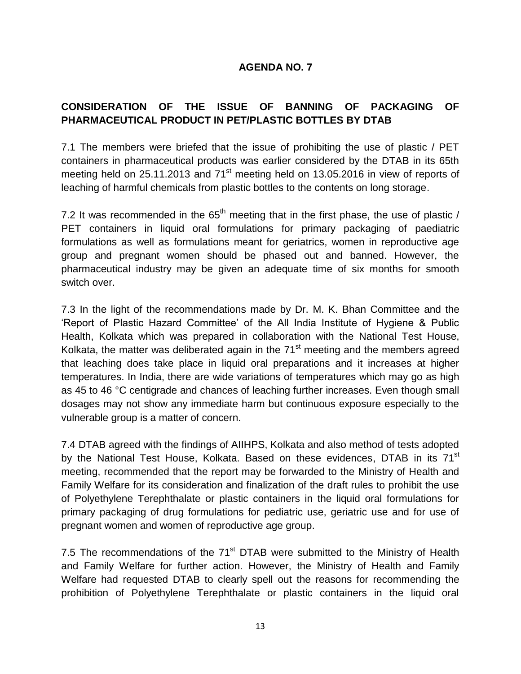# **CONSIDERATION OF THE ISSUE OF BANNING OF PACKAGING OF PHARMACEUTICAL PRODUCT IN PET/PLASTIC BOTTLES BY DTAB**

7.1 The members were briefed that the issue of prohibiting the use of plastic / PET containers in pharmaceutical products was earlier considered by the DTAB in its 65th meeting held on 25.11.2013 and 71<sup>st</sup> meeting held on 13.05.2016 in view of reports of leaching of harmful chemicals from plastic bottles to the contents on long storage.

7.2 It was recommended in the  $65<sup>th</sup>$  meeting that in the first phase, the use of plastic / PET containers in liquid oral formulations for primary packaging of paediatric formulations as well as formulations meant for geriatrics, women in reproductive age group and pregnant women should be phased out and banned. However, the pharmaceutical industry may be given an adequate time of six months for smooth switch over.

7.3 In the light of the recommendations made by Dr. M. K. Bhan Committee and the "Report of Plastic Hazard Committee" of the All India Institute of Hygiene & Public Health, Kolkata which was prepared in collaboration with the National Test House, Kolkata, the matter was deliberated again in the  $71<sup>st</sup>$  meeting and the members agreed that leaching does take place in liquid oral preparations and it increases at higher temperatures. In India, there are wide variations of temperatures which may go as high as 45 to 46 °C centigrade and chances of leaching further increases. Even though small dosages may not show any immediate harm but continuous exposure especially to the vulnerable group is a matter of concern.

7.4 DTAB agreed with the findings of AIIHPS, Kolkata and also method of tests adopted by the National Test House, Kolkata. Based on these evidences, DTAB in its 71<sup>st</sup> meeting, recommended that the report may be forwarded to the Ministry of Health and Family Welfare for its consideration and finalization of the draft rules to prohibit the use of Polyethylene Terephthalate or plastic containers in the liquid oral formulations for primary packaging of drug formulations for pediatric use, geriatric use and for use of pregnant women and women of reproductive age group.

7.5 The recommendations of the  $71<sup>st</sup>$  DTAB were submitted to the Ministry of Health and Family Welfare for further action. However, the Ministry of Health and Family Welfare had requested DTAB to clearly spell out the reasons for recommending the prohibition of Polyethylene Terephthalate or plastic containers in the liquid oral